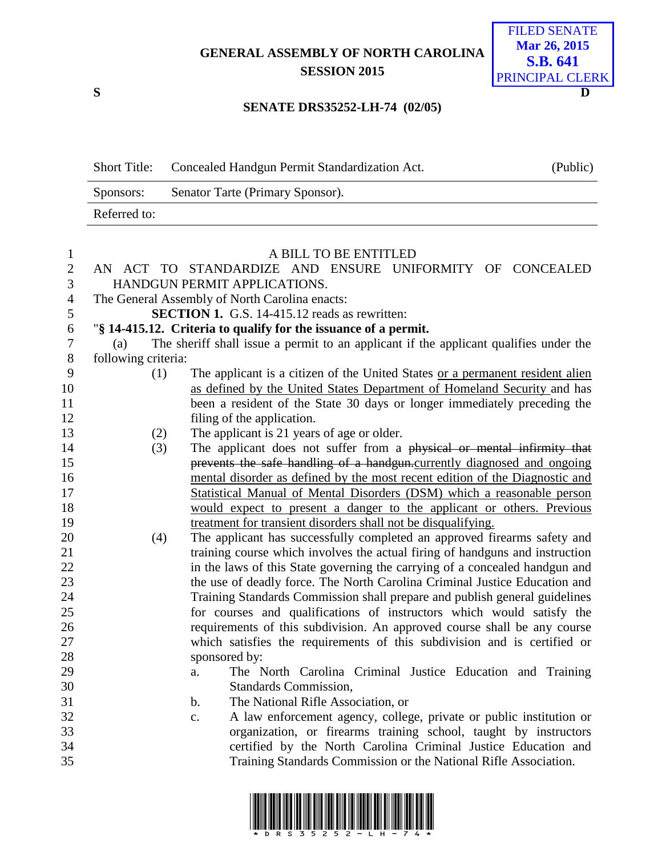## **GENERAL ASSEMBLY OF NORTH CAROLINA SESSION 2015**



## **SENATE DRS35252-LH-74 (02/05)**

|              | Short Title: Concealed Handgun Permit Standardization Act. | (Public) |
|--------------|------------------------------------------------------------|----------|
| Sponsors:    | Senator Tarte (Primary Sponsor).                           |          |
| Referred to: |                                                            |          |

| $\mathbf{1}$   |                     | A BILL TO BE ENTITLED                                                                 |
|----------------|---------------------|---------------------------------------------------------------------------------------|
| $\overline{2}$ |                     | AN ACT TO STANDARDIZE AND ENSURE UNIFORMITY OF CONCEALED                              |
| 3              |                     | HANDGUN PERMIT APPLICATIONS.                                                          |
| $\overline{4}$ |                     | The General Assembly of North Carolina enacts:                                        |
| 5              |                     | <b>SECTION 1.</b> G.S. 14-415.12 reads as rewritten:                                  |
| 6              |                     | "§ 14-415.12. Criteria to qualify for the issuance of a permit.                       |
| $\tau$         | (a)                 | The sheriff shall issue a permit to an applicant if the applicant qualifies under the |
| $8\,$          | following criteria: |                                                                                       |
| 9              | (1)                 | The applicant is a citizen of the United States or a permanent resident alien         |
| 10             |                     | as defined by the United States Department of Homeland Security and has               |
| 11             |                     | been a resident of the State 30 days or longer immediately preceding the              |
| 12             |                     | filing of the application.                                                            |
| 13             | (2)                 | The applicant is 21 years of age or older.                                            |
| 14             | (3)                 | The applicant does not suffer from a physical or mental infirmity that                |
| 15             |                     | prevents the safe handling of a handgun.currently diagnosed and ongoing               |
| 16             |                     | mental disorder as defined by the most recent edition of the Diagnostic and           |
| 17             |                     | Statistical Manual of Mental Disorders (DSM) which a reasonable person                |
| 18             |                     | would expect to present a danger to the applicant or others. Previous                 |
| 19             |                     | treatment for transient disorders shall not be disqualifying.                         |
| 20             | (4)                 | The applicant has successfully completed an approved firearms safety and              |
| 21             |                     | training course which involves the actual firing of handguns and instruction          |
| 22             |                     | in the laws of this State governing the carrying of a concealed handgun and           |
| 23             |                     | the use of deadly force. The North Carolina Criminal Justice Education and            |
| 24             |                     | Training Standards Commission shall prepare and publish general guidelines            |
| 25             |                     | for courses and qualifications of instructors which would satisfy the                 |
| 26             |                     | requirements of this subdivision. An approved course shall be any course              |
| 27             |                     | which satisfies the requirements of this subdivision and is certified or              |
| 28             |                     | sponsored by:                                                                         |
| 29             |                     | The North Carolina Criminal Justice Education and Training<br>a.                      |
| 30             |                     | Standards Commission,                                                                 |
| 31             |                     | The National Rifle Association, or<br>$\mathbf{b}$ .                                  |
| 32             |                     | A law enforcement agency, college, private or public institution or<br>$C_{\bullet}$  |
| 33             |                     | organization, or firearms training school, taught by instructors                      |
| 34             |                     | certified by the North Carolina Criminal Justice Education and                        |
| 35             |                     | Training Standards Commission or the National Rifle Association.                      |
|                |                     |                                                                                       |

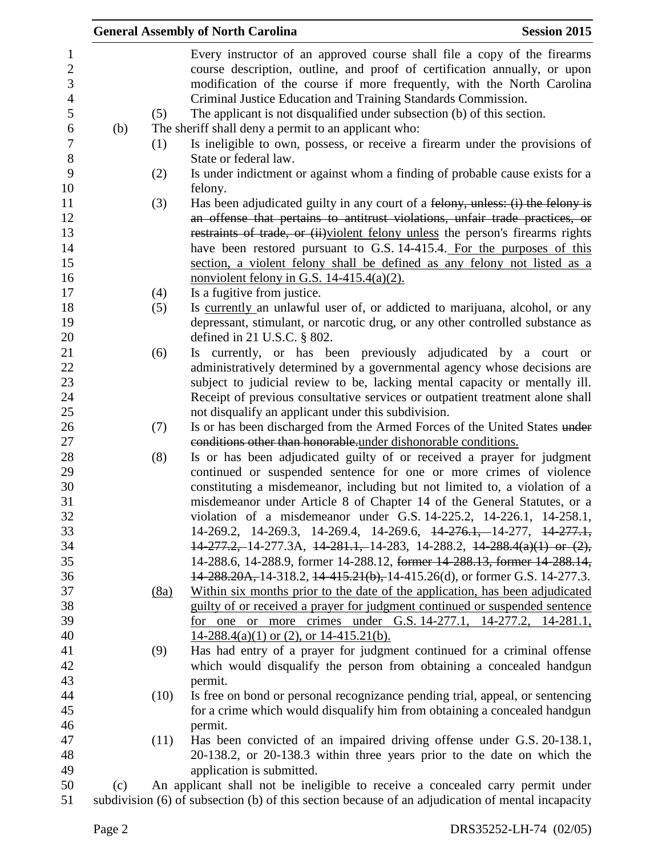|     |      | <b>General Assembly of North Carolina</b>                                                                                                                                                                                                                                                        | <b>Session 2015</b> |
|-----|------|--------------------------------------------------------------------------------------------------------------------------------------------------------------------------------------------------------------------------------------------------------------------------------------------------|---------------------|
|     |      | Every instructor of an approved course shall file a copy of the firearms<br>course description, outline, and proof of certification annually, or upon<br>modification of the course if more frequently, with the North Carolina<br>Criminal Justice Education and Training Standards Commission. |                     |
|     | (5)  | The applicant is not disqualified under subsection (b) of this section.                                                                                                                                                                                                                          |                     |
| (b) |      | The sheriff shall deny a permit to an applicant who:                                                                                                                                                                                                                                             |                     |
|     | (1)  | Is ineligible to own, possess, or receive a firearm under the provisions of<br>State or federal law.                                                                                                                                                                                             |                     |
|     | (2)  | Is under indictment or against whom a finding of probable cause exists for a<br>felony.                                                                                                                                                                                                          |                     |
|     | (3)  | Has been adjudicated guilty in any court of a felony, unless: (i) the felony is<br>an offense that pertains to antitrust violations, unfair trade practices, or                                                                                                                                  |                     |
|     |      | restraints of trade, or (ii) violent felony unless the person's firearms rights                                                                                                                                                                                                                  |                     |
|     |      | have been restored pursuant to G.S. 14-415.4. For the purposes of this                                                                                                                                                                                                                           |                     |
|     |      | section, a violent felony shall be defined as any felony not listed as a                                                                                                                                                                                                                         |                     |
|     |      | nonviolent felony in G.S. $14-415.4(a)(2)$ .                                                                                                                                                                                                                                                     |                     |
|     | (4)  | Is a fugitive from justice.                                                                                                                                                                                                                                                                      |                     |
|     | (5)  | Is currently an unlawful user of, or addicted to marijuana, alcohol, or any                                                                                                                                                                                                                      |                     |
|     |      | depressant, stimulant, or narcotic drug, or any other controlled substance as                                                                                                                                                                                                                    |                     |
|     |      | defined in 21 U.S.C. $\S$ 802.                                                                                                                                                                                                                                                                   |                     |
|     | (6)  | Is currently, or has been previously adjudicated by a court or                                                                                                                                                                                                                                   |                     |
|     |      | administratively determined by a governmental agency whose decisions are                                                                                                                                                                                                                         |                     |
|     |      | subject to judicial review to be, lacking mental capacity or mentally ill.                                                                                                                                                                                                                       |                     |
|     |      | Receipt of previous consultative services or outpatient treatment alone shall                                                                                                                                                                                                                    |                     |
|     |      | not disqualify an applicant under this subdivision.                                                                                                                                                                                                                                              |                     |
|     | (7)  | Is or has been discharged from the Armed Forces of the United States under                                                                                                                                                                                                                       |                     |
|     |      | conditions other than honorable under dishonorable conditions.                                                                                                                                                                                                                                   |                     |
|     | (8)  | Is or has been adjudicated guilty of or received a prayer for judgment                                                                                                                                                                                                                           |                     |
|     |      | continued or suspended sentence for one or more crimes of violence                                                                                                                                                                                                                               |                     |
|     |      | constituting a misdemeanor, including but not limited to, a violation of a                                                                                                                                                                                                                       |                     |
|     |      | misdemeanor under Article 8 of Chapter 14 of the General Statutes, or a                                                                                                                                                                                                                          |                     |
|     |      | violation of a misdemeanor under G.S. 14-225.2, 14-226.1, 14-258.1,                                                                                                                                                                                                                              |                     |
|     |      | 14-269.2, 14-269.3, 14-269.4, 14-269.6, <del>14-276.1, 14-277, 14-277.1,</del>                                                                                                                                                                                                                   |                     |
|     |      | $14-277.2$ , 14-277.3A, $14-281.1$ , 14-283, 14-288.2, $14-288.4(a)(1)$ or $(2)$ ,                                                                                                                                                                                                               |                     |
|     |      | 14-288.6, 14-288.9, former 14-288.12, former 14-288.13, former 14-288.14,                                                                                                                                                                                                                        |                     |
|     |      | 14-288.20A, 14-318.2, 14-415.21(b), 14-415.26(d), or former G.S. 14-277.3.                                                                                                                                                                                                                       |                     |
|     | (8a) | Within six months prior to the date of the application, has been adjudicated                                                                                                                                                                                                                     |                     |
|     |      | guilty of or received a prayer for judgment continued or suspended sentence                                                                                                                                                                                                                      |                     |
|     |      | for one or more crimes under G.S. 14-277.1, 14-277.2, 14-281.1,                                                                                                                                                                                                                                  |                     |
|     |      | $14-288.4(a)(1)$ or (2), or $14-415.21(b)$ .                                                                                                                                                                                                                                                     |                     |
|     | (9)  | Has had entry of a prayer for judgment continued for a criminal offense<br>which would disqualify the person from obtaining a concealed handgun                                                                                                                                                  |                     |
|     |      | permit.                                                                                                                                                                                                                                                                                          |                     |
|     | (10) | Is free on bond or personal recognizance pending trial, appeal, or sentencing                                                                                                                                                                                                                    |                     |
|     |      | for a crime which would disqualify him from obtaining a concealed handgun                                                                                                                                                                                                                        |                     |
|     |      | permit.                                                                                                                                                                                                                                                                                          |                     |
|     | (11) | Has been convicted of an impaired driving offense under G.S. 20-138.1,                                                                                                                                                                                                                           |                     |
|     |      | 20-138.2, or 20-138.3 within three years prior to the date on which the                                                                                                                                                                                                                          |                     |
|     |      | application is submitted.                                                                                                                                                                                                                                                                        |                     |
| (c) |      | An applicant shall not be ineligible to receive a concealed carry permit under                                                                                                                                                                                                                   |                     |
|     |      | subdivision (6) of subsection (b) of this section because of an adjudication of mental incapacity                                                                                                                                                                                                |                     |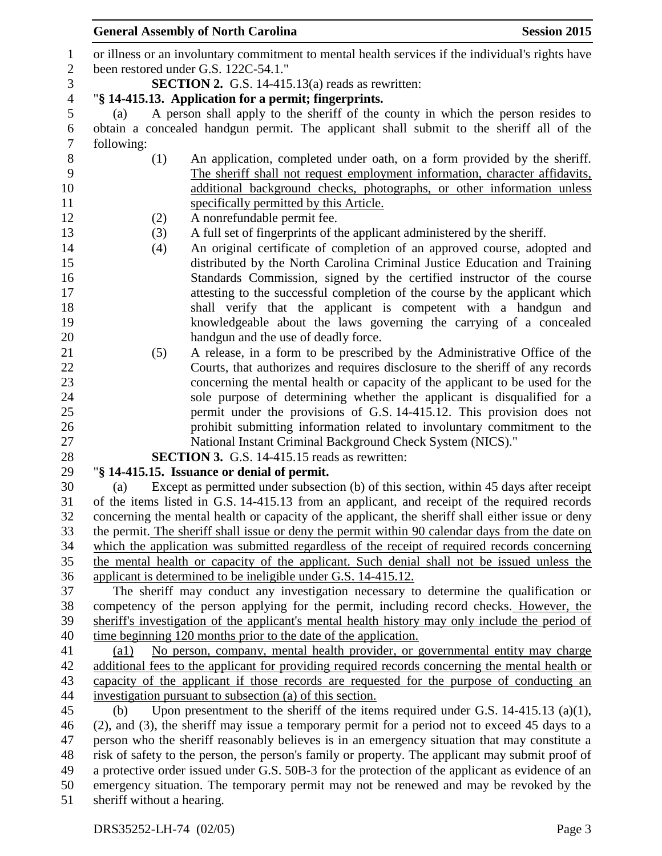| $\mathbf{1}$     | or illness or an involuntary commitment to mental health services if the individual's rights have |  |  |
|------------------|---------------------------------------------------------------------------------------------------|--|--|
| $\overline{2}$   | been restored under G.S. 122C-54.1."                                                              |  |  |
| $\mathfrak{Z}$   | <b>SECTION 2.</b> G.S. 14-415.13(a) reads as rewritten:                                           |  |  |
| $\overline{4}$   | "§ 14-415.13. Application for a permit; fingerprints.                                             |  |  |
| 5                | A person shall apply to the sheriff of the county in which the person resides to<br>(a)           |  |  |
| 6                | obtain a concealed handgun permit. The applicant shall submit to the sheriff all of the           |  |  |
| $\boldsymbol{7}$ | following:                                                                                        |  |  |
| $8\,$            | An application, completed under oath, on a form provided by the sheriff.<br>(1)                   |  |  |
| 9                | The sheriff shall not request employment information, character affidavits,                       |  |  |
| 10               | additional background checks, photographs, or other information unless                            |  |  |
| 11               | specifically permitted by this Article.                                                           |  |  |
| 12               | A nonrefundable permit fee.<br>(2)                                                                |  |  |
| 13               | A full set of fingerprints of the applicant administered by the sheriff.<br>(3)                   |  |  |
| 14               | An original certificate of completion of an approved course, adopted and<br>(4)                   |  |  |
| 15               | distributed by the North Carolina Criminal Justice Education and Training                         |  |  |
| 16               | Standards Commission, signed by the certified instructor of the course                            |  |  |
| 17               | attesting to the successful completion of the course by the applicant which                       |  |  |
| 18               | shall verify that the applicant is competent with a handgun and                                   |  |  |
| 19               | knowledgeable about the laws governing the carrying of a concealed                                |  |  |
| 20               | handgun and the use of deadly force.                                                              |  |  |
| 21               | A release, in a form to be prescribed by the Administrative Office of the<br>(5)                  |  |  |
| 22               | Courts, that authorizes and requires disclosure to the sheriff of any records                     |  |  |
| 23               | concerning the mental health or capacity of the applicant to be used for the                      |  |  |
| 24               | sole purpose of determining whether the applicant is disqualified for a                           |  |  |
| 25               | permit under the provisions of G.S. 14-415.12. This provision does not                            |  |  |
| 26               | prohibit submitting information related to involuntary commitment to the                          |  |  |
| 27               | National Instant Criminal Background Check System (NICS)."                                        |  |  |
| 28               | <b>SECTION 3.</b> G.S. 14-415.15 reads as rewritten:                                              |  |  |
| 29               | "§ 14-415.15. Issuance or denial of permit.                                                       |  |  |
| 30               | Except as permitted under subsection (b) of this section, within 45 days after receipt<br>(a)     |  |  |
| 31               | of the items listed in G.S. 14-415.13 from an applicant, and receipt of the required records      |  |  |
| 32               | concerning the mental health or capacity of the applicant, the sheriff shall either issue or deny |  |  |
| 33               | the permit. The sheriff shall issue or deny the permit within 90 calendar days from the date on   |  |  |
| 34               | which the application was submitted regardless of the receipt of required records concerning      |  |  |
| 35               | the mental health or capacity of the applicant. Such denial shall not be issued unless the        |  |  |
| 36               | applicant is determined to be ineligible under G.S. 14-415.12.                                    |  |  |
| 37               | The sheriff may conduct any investigation necessary to determine the qualification or             |  |  |
| 38               | competency of the person applying for the permit, including record checks. However, the           |  |  |
| 39               | sheriff's investigation of the applicant's mental health history may only include the period of   |  |  |
| 40               | time beginning 120 months prior to the date of the application.                                   |  |  |
| 41               | No person, company, mental health provider, or governmental entity may charge<br>(a1)             |  |  |
| 42               | additional fees to the applicant for providing required records concerning the mental health or   |  |  |
| 43               | capacity of the applicant if those records are requested for the purpose of conducting an         |  |  |
| 44               | investigation pursuant to subsection (a) of this section.                                         |  |  |
| 45               | Upon presentment to the sheriff of the items required under G.S. $14-415.13$ (a)(1),<br>(b)       |  |  |
| 46               | (2), and (3), the sheriff may issue a temporary permit for a period not to exceed 45 days to a    |  |  |
| 47               | person who the sheriff reasonably believes is in an emergency situation that may constitute a     |  |  |
| 48               | risk of safety to the person, the person's family or property. The applicant may submit proof of  |  |  |
| 49               | a protective order issued under G.S. 50B-3 for the protection of the applicant as evidence of an  |  |  |
| 50               | emergency situation. The temporary permit may not be renewed and may be revoked by the            |  |  |
| 51               | sheriff without a hearing.                                                                        |  |  |
|                  | DRS35252-LH-74 (02/05)<br>Page 3                                                                  |  |  |
|                  |                                                                                                   |  |  |

## **General Assembly of North Carolina Session 2015**